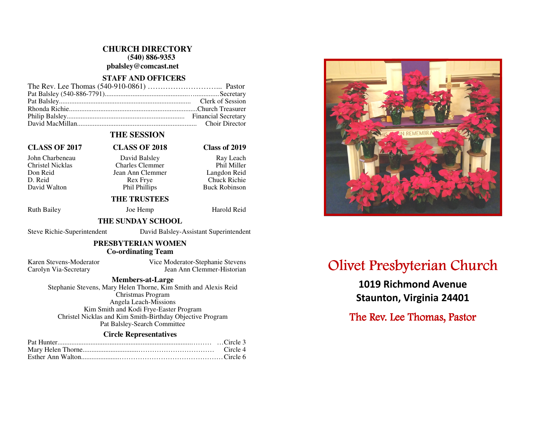# **CHURCH DIRECTORY (540) 886-9353 pbalsley@comcast.net**

# **STAFF AND OFFICERS**

# **THE SESSION**

# **CLASS OF 2017 CLASS OF 2018 Class of 2019**

Phil Miller

Langdon Reid

D. Reid Rex Frye Chuck Richie David Walton **Phil Phillips** Buck Robinson

John Charbeneau David Balsley Ray Leach Christel Nicklas Charles Clemmer Don Reid Jean Ann Clemmer

### **THE TRUSTEES**

Ruth Bailey **Joe Hemp** Harold Reid

# **THE SUNDAY SCHOOL**

Steve Richie-Superintendent David Balsley-Assistant Superintendent

#### **PRESBYTERIAN WOMEN Co-ordinating Team**

Karen Stevens-Moderator Vice Moderator-Stephanie Stevens Carolyn Via-Secretary Jean Ann Clemmer-Historian

### **Members-at-Large**

 Stephanie Stevens, Mary Helen Thorne, Kim Smith and Alexis Reid Christmas Program Angela Leach-Missions Kim Smith and Kodi Frye-Easter Program Christel Nicklas and Kim Smith-Birthday Objective Program Pat Balsley-Search Committee

#### **Circle Representatives**



# Olivet Presbyterian Church

1019 Richmond Avenue Staunton, Virginia 24401

The Rev. Lee Thomas, Pastor